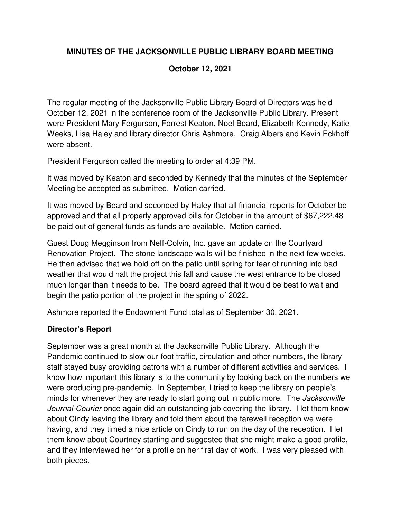# **MINUTES OF THE JACKSONVILLE PUBLIC LIBRARY BOARD MEETING**

### **October 12, 2021**

The regular meeting of the Jacksonville Public Library Board of Directors was held October 12, 2021 in the conference room of the Jacksonville Public Library. Present were President Mary Fergurson, Forrest Keaton, Noel Beard, Elizabeth Kennedy, Katie Weeks, Lisa Haley and library director Chris Ashmore. Craig Albers and Kevin Eckhoff were absent.

President Fergurson called the meeting to order at 4:39 PM.

It was moved by Keaton and seconded by Kennedy that the minutes of the September Meeting be accepted as submitted. Motion carried.

It was moved by Beard and seconded by Haley that all financial reports for October be approved and that all properly approved bills for October in the amount of \$67,222.48 be paid out of general funds as funds are available. Motion carried.

Guest Doug Megginson from Neff-Colvin, Inc. gave an update on the Courtyard Renovation Project. The stone landscape walls will be finished in the next few weeks. He then advised that we hold off on the patio until spring for fear of running into bad weather that would halt the project this fall and cause the west entrance to be closed much longer than it needs to be. The board agreed that it would be best to wait and begin the patio portion of the project in the spring of 2022.

Ashmore reported the Endowment Fund total as of September 30, 2021.

# **Director's Report**

September was a great month at the Jacksonville Public Library. Although the Pandemic continued to slow our foot traffic, circulation and other numbers, the library staff stayed busy providing patrons with a number of different activities and services. I know how important this library is to the community by looking back on the numbers we were producing pre-pandemic. In September, I tried to keep the library on people's minds for whenever they are ready to start going out in public more. The *Jacksonville* Journal-Courier once again did an outstanding job covering the library. I let them know about Cindy leaving the library and told them about the farewell reception we were having, and they timed a nice article on Cindy to run on the day of the reception. I let them know about Courtney starting and suggested that she might make a good profile, and they interviewed her for a profile on her first day of work. I was very pleased with both pieces.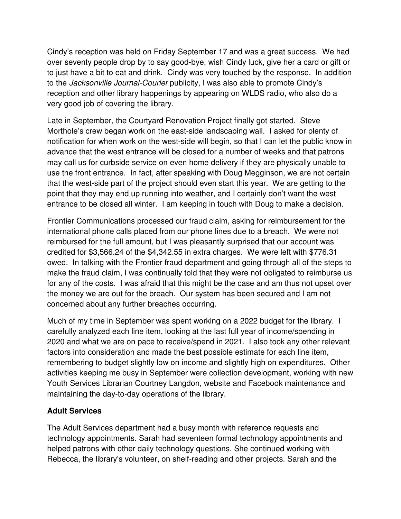Cindy's reception was held on Friday September 17 and was a great success. We had over seventy people drop by to say good-bye, wish Cindy luck, give her a card or gift or to just have a bit to eat and drink. Cindy was very touched by the response. In addition to the Jacksonville Journal-Courier publicity, I was also able to promote Cindy's reception and other library happenings by appearing on WLDS radio, who also do a very good job of covering the library.

Late in September, the Courtyard Renovation Project finally got started. Steve Morthole's crew began work on the east-side landscaping wall. I asked for plenty of notification for when work on the west-side will begin, so that I can let the public know in advance that the west entrance will be closed for a number of weeks and that patrons may call us for curbside service on even home delivery if they are physically unable to use the front entrance. In fact, after speaking with Doug Megginson, we are not certain that the west-side part of the project should even start this year. We are getting to the point that they may end up running into weather, and I certainly don't want the west entrance to be closed all winter. I am keeping in touch with Doug to make a decision.

Frontier Communications processed our fraud claim, asking for reimbursement for the international phone calls placed from our phone lines due to a breach. We were not reimbursed for the full amount, but I was pleasantly surprised that our account was credited for \$3,566.24 of the \$4,342.55 in extra charges. We were left with \$776.31 owed. In talking with the Frontier fraud department and going through all of the steps to make the fraud claim, I was continually told that they were not obligated to reimburse us for any of the costs. I was afraid that this might be the case and am thus not upset over the money we are out for the breach. Our system has been secured and I am not concerned about any further breaches occurring.

Much of my time in September was spent working on a 2022 budget for the library. I carefully analyzed each line item, looking at the last full year of income/spending in 2020 and what we are on pace to receive/spend in 2021. I also took any other relevant factors into consideration and made the best possible estimate for each line item, remembering to budget slightly low on income and slightly high on expenditures. Other activities keeping me busy in September were collection development, working with new Youth Services Librarian Courtney Langdon, website and Facebook maintenance and maintaining the day-to-day operations of the library.

# **Adult Services**

The Adult Services department had a busy month with reference requests and technology appointments. Sarah had seventeen formal technology appointments and helped patrons with other daily technology questions. She continued working with Rebecca, the library's volunteer, on shelf-reading and other projects. Sarah and the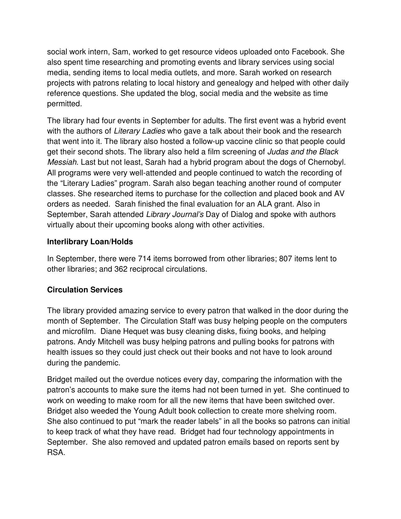social work intern, Sam, worked to get resource videos uploaded onto Facebook. She also spent time researching and promoting events and library services using social media, sending items to local media outlets, and more. Sarah worked on research projects with patrons relating to local history and genealogy and helped with other daily reference questions. She updated the blog, social media and the website as time permitted.

The library had four events in September for adults. The first event was a hybrid event with the authors of Literary Ladies who gave a talk about their book and the research that went into it. The library also hosted a follow-up vaccine clinic so that people could get their second shots. The library also held a film screening of Judas and the Black Messiah. Last but not least, Sarah had a hybrid program about the dogs of Chernobyl. All programs were very well-attended and people continued to watch the recording of the "Literary Ladies" program. Sarah also began teaching another round of computer classes. She researched items to purchase for the collection and placed book and AV orders as needed. Sarah finished the final evaluation for an ALA grant. Also in September, Sarah attended Library Journal's Day of Dialog and spoke with authors virtually about their upcoming books along with other activities.

#### **Interlibrary Loan/Holds**

In September, there were 714 items borrowed from other libraries; 807 items lent to other libraries; and 362 reciprocal circulations.

# **Circulation Services**

The library provided amazing service to every patron that walked in the door during the month of September. The Circulation Staff was busy helping people on the computers and microfilm. Diane Hequet was busy cleaning disks, fixing books, and helping patrons. Andy Mitchell was busy helping patrons and pulling books for patrons with health issues so they could just check out their books and not have to look around during the pandemic.

Bridget mailed out the overdue notices every day, comparing the information with the patron's accounts to make sure the items had not been turned in yet. She continued to work on weeding to make room for all the new items that have been switched over. Bridget also weeded the Young Adult book collection to create more shelving room. She also continued to put "mark the reader labels" in all the books so patrons can initial to keep track of what they have read. Bridget had four technology appointments in September. She also removed and updated patron emails based on reports sent by RSA.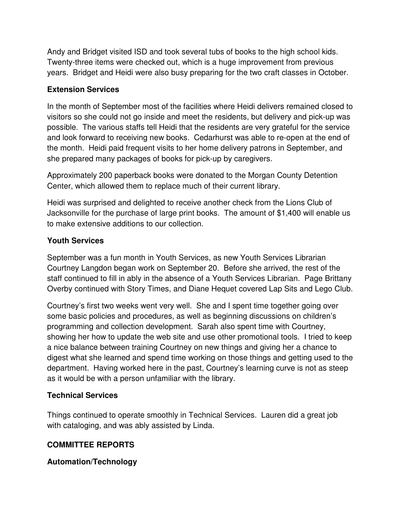Andy and Bridget visited ISD and took several tubs of books to the high school kids. Twenty-three items were checked out, which is a huge improvement from previous years. Bridget and Heidi were also busy preparing for the two craft classes in October.

### **Extension Services**

In the month of September most of the facilities where Heidi delivers remained closed to visitors so she could not go inside and meet the residents, but delivery and pick-up was possible. The various staffs tell Heidi that the residents are very grateful for the service and look forward to receiving new books. Cedarhurst was able to re-open at the end of the month. Heidi paid frequent visits to her home delivery patrons in September, and she prepared many packages of books for pick-up by caregivers.

Approximately 200 paperback books were donated to the Morgan County Detention Center, which allowed them to replace much of their current library.

Heidi was surprised and delighted to receive another check from the Lions Club of Jacksonville for the purchase of large print books. The amount of \$1,400 will enable us to make extensive additions to our collection.

#### **Youth Services**

September was a fun month in Youth Services, as new Youth Services Librarian Courtney Langdon began work on September 20. Before she arrived, the rest of the staff continued to fill in ably in the absence of a Youth Services Librarian. Page Brittany Overby continued with Story Times, and Diane Hequet covered Lap Sits and Lego Club.

Courtney's first two weeks went very well. She and I spent time together going over some basic policies and procedures, as well as beginning discussions on children's programming and collection development. Sarah also spent time with Courtney, showing her how to update the web site and use other promotional tools. I tried to keep a nice balance between training Courtney on new things and giving her a chance to digest what she learned and spend time working on those things and getting used to the department. Having worked here in the past, Courtney's learning curve is not as steep as it would be with a person unfamiliar with the library.

#### **Technical Services**

Things continued to operate smoothly in Technical Services. Lauren did a great job with cataloging, and was ably assisted by Linda.

# **COMMITTEE REPORTS**

# **Automation/Technology**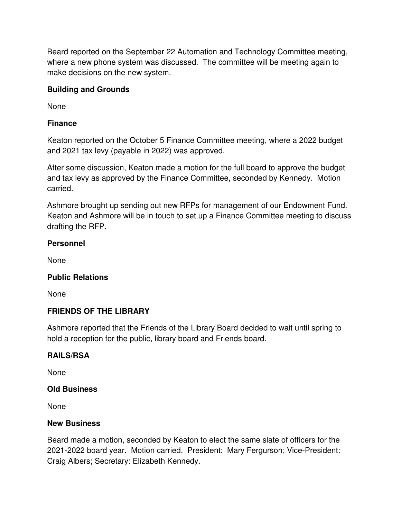Beard reported on the September 22 Automation and Technology Committee meeting, where a new phone system was discussed. The committee will be meeting again to make decisions on the new system.

### **Building and Grounds**

None

# **Finance**

Keaton reported on the October 5 Finance Committee meeting, where a 2022 budget and 2021 tax levy (payable in 2022) was approved.

After some discussion, Keaton made a motion for the full board to approve the budget and tax levy as approved by the Finance Committee, seconded by Kennedy. Motion carried.

Ashmore brought up sending out new RFPs for management of our Endowment Fund. Keaton and Ashmore will be in touch to set up a Finance Committee meeting to discuss drafting the RFP.

#### **Personnel**

None

# **Public Relations**

None

# **FRIENDS OF THE LIBRARY**

Ashmore reported that the Friends of the Library Board decided to wait until spring to hold a reception for the public, library board and Friends board.

#### **RAILS/RSA**

None

#### **Old Business**

None

#### **New Business**

Beard made a motion, seconded by Keaton to elect the same slate of officers for the 2021-2022 board year. Motion carried. President: Mary Fergurson; Vice-President: Craig Albers; Secretary: Elizabeth Kennedy.